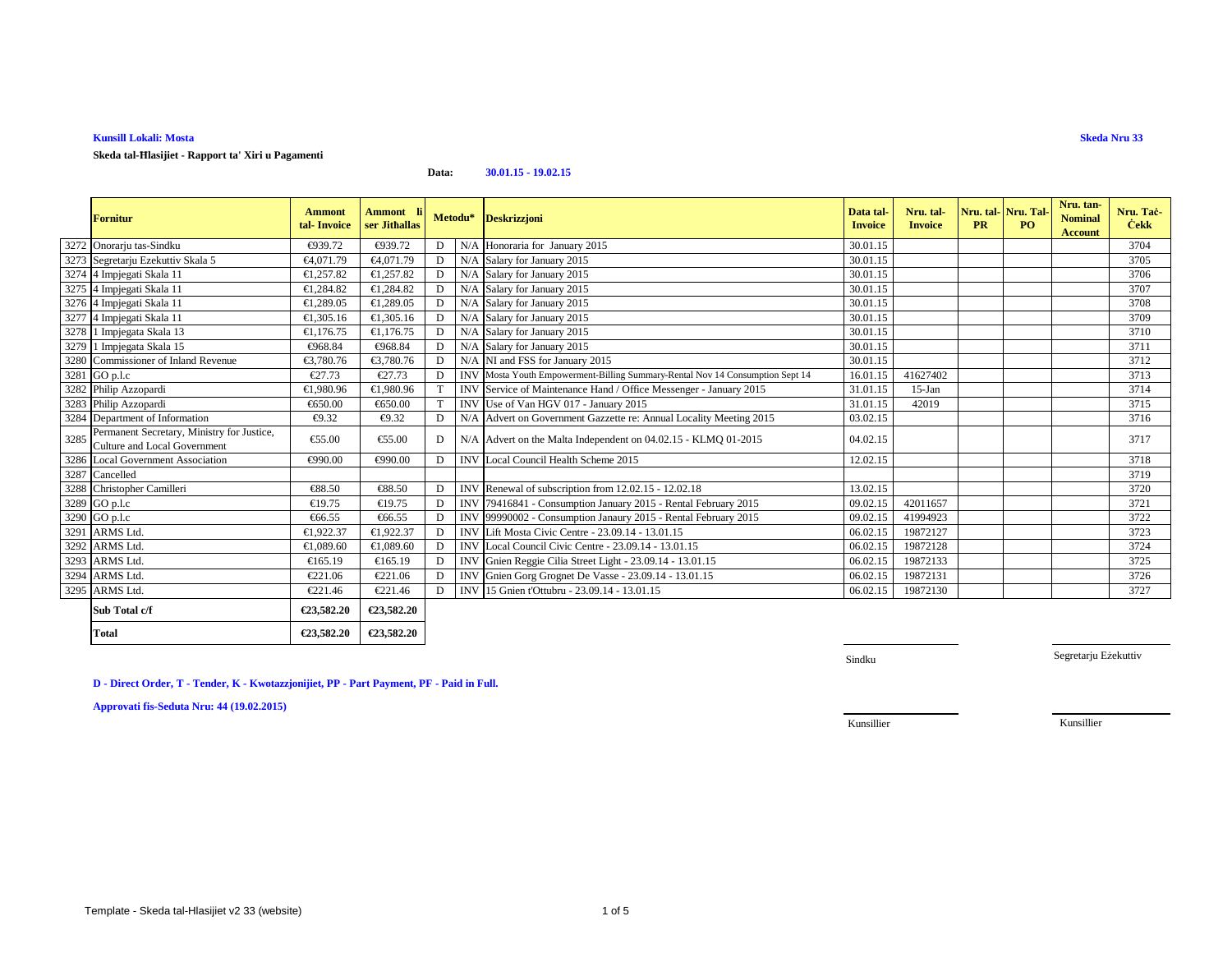### **Kunsill Lokali: Mosta**

# **Skeda tal-Ħlasijiet - Rapport ta' Xiri u Pagamenti**

### **Data:30.01.15 - 19.02.15**

|      | <b>Fornitur</b>                                                                   | <b>Ammont</b><br>tal-Invoice | Ammont li<br>ser Jithallas |             |            | Metodu* Deskrizzjoni                                                          | Data tal-<br><b>Invoice</b> | Nru. tal-<br><b>Invoice</b> | Nru. tal-Nru. Tal<br><b>PR</b> | PO. | Nru. tan-<br><b>Nominal</b><br><b>Account</b> | Nru. Tač-<br><b>Cekk</b> |
|------|-----------------------------------------------------------------------------------|------------------------------|----------------------------|-------------|------------|-------------------------------------------------------------------------------|-----------------------------|-----------------------------|--------------------------------|-----|-----------------------------------------------|--------------------------|
|      | 3272 Onorarju tas-Sindku                                                          | €939.72                      | €939.72                    | D           |            | N/A Honoraria for January 2015                                                | 30.01.15                    |                             |                                |     |                                               | 3704                     |
|      | 3273 Segretarju Ezekuttiv Skala 5                                                 | €4,071.79                    | €4,071.79                  | D           |            | N/A Salary for Janury 2015                                                    | 30.01.15                    |                             |                                |     |                                               | 3705                     |
|      | 3274 4 Impjegati Skala 11                                                         | €1,257.82                    | €1,257.82                  | D           |            | N/A Salary for January 2015                                                   | 30.01.15                    |                             |                                |     |                                               | 3706                     |
|      | 3275 4 Impjegati Skala 11                                                         | €1,284.82                    | €1,284.82                  | D           |            | N/A Salary for January 2015                                                   | 30.01.15                    |                             |                                |     |                                               | 3707                     |
|      | 3276 4 Impjegati Skala 11                                                         | €1,289.05                    | €1,289.05                  | D           |            | N/A Salary for January 2015                                                   | 30.01.15                    |                             |                                |     |                                               | 3708                     |
|      | 3277 4 Impjegati Skala 11                                                         | €1,305.16                    | €1,305.16                  | D           |            | N/A Salary for January 2015                                                   | 30.01.15                    |                             |                                |     |                                               | 3709                     |
|      | 3278 1 Impjegata Skala 13                                                         | €1.176.75                    | €1.176.75                  | D           |            | N/A Salary for January 2015                                                   | 30.01.15                    |                             |                                |     |                                               | 3710                     |
|      | 3279 1 Impjegata Skala 15                                                         | €968.84                      | €968.84                    | D           |            | N/A Salary for January 2015                                                   | 30.01.15                    |                             |                                |     |                                               | 3711                     |
|      | 3280 Commissioner of Inland Revenue                                               | €3,780.76                    | €3,780.76                  | D           |            | N/A NI and FSS for anuary 2015                                                | 30.01.15                    |                             |                                |     |                                               | 3712                     |
|      | 3281 GO p.l.c                                                                     | €27.73                       | €27.73                     | D           |            | INV Mosta Youth Empowerment-Billing Summary-Rental Nov 14 Consumption Sept 14 | 16.01.15                    | 41627402                    |                                |     |                                               | 3713                     |
|      | 3282 Philip Azzopardi                                                             | €1,980.96                    | €1,980.96                  |             |            | INV Service of Maintenance Hand Office Messenger - January 2015               | 31.01.15                    | $15-Ian$                    |                                |     |                                               | 3714                     |
|      | 3283 Philip Azzopardi                                                             | €650.00                      | €650.00                    | $\mathbf T$ | <b>INV</b> | Use of Van HGV 017 - January 2015                                             | 31.01.15                    | 42019                       |                                |     |                                               | 3715                     |
|      | 3284 Department of Information                                                    | €9.32                        | €9.32                      | D           | N/A        | Advert on Government Gazette re: Annual Locality Meeting 2015                 | 03.02.15                    |                             |                                |     |                                               | 3716                     |
| 3285 | Permanent Secretary, Ministry for Justice,<br><b>Culture and Local Government</b> | €55.00                       | €55.00                     | D           |            | N/A Advert on the Malta Independent on 04.02.15 - KLMQ 01-2015                | 04.0215                     |                             |                                |     |                                               | 3717                     |
|      | 3286 Local Government Association                                                 | €990.00                      | €990.00                    | D           |            | INV Local Council Health Scheme 2015                                          | 12.02.15                    |                             |                                |     |                                               | 3718                     |
|      | 3287 Cancelled                                                                    |                              |                            |             |            |                                                                               |                             |                             |                                |     |                                               | 3719                     |
|      | 3288 Christopher Camilleri                                                        | €88.50                       | €88.50                     | D           |            | INV Renewal of subscription from 2.02.15 - 12.02.18                           | 13.02.15                    |                             |                                |     |                                               | 3720                     |
|      | 3289 GO p.l.c                                                                     | €19.75                       | €19.75                     | D           | <b>INV</b> | 79416841 - Consumption January 2015 - Rental February 2015                    | 09.02.15                    | 42011657                    |                                |     |                                               | 3721                     |
|      | 3290 GO p.l.c                                                                     | €66.55                       | €66.55                     | D           | <b>INV</b> | 99990002 - Consumption Janaury 2015 - Rental February 2015                    | 09.02.15                    | 41994923                    |                                |     |                                               | 3722                     |
|      | 3291 ARMS Ltd.                                                                    | €1,922.37                    | €1,922.37                  | D           | <b>INV</b> | Lift Mosta Civic Centre - 23.09.14 - 13.0115                                  | 06.02.15                    | 19872127                    |                                |     |                                               | 3723                     |
|      | 3292 ARMS Ltd.                                                                    | €1,089.60                    | €1,089.60                  | D           | <b>INV</b> | Local Council Civic Centre - 23.09.14 -13.01.15                               | 06.02.15                    | 19872128                    |                                |     |                                               | 3724                     |
|      | 3293 ARMS Ltd.                                                                    | €165.19                      | €165.19                    | D           | <b>INV</b> | Gnien Reggie Cilia Street Light 23.09.14 - 13.01.15                           | 06.02.15                    | 19872133                    |                                |     |                                               | 3725                     |
|      | 3294 ARMS Ltd.                                                                    | €221.06                      | €221.06                    | D           |            | INV Gnien Gorg Grognet De Vasse - 23.09.14 - 1301.15                          | 06.02.15                    | 19872131                    |                                |     |                                               | 3726                     |
|      | 3295 ARMS Ltd.                                                                    | €221.46                      | €221.46                    | D           |            | INV 15 Gnien t'Ottubru - 23.09.14 - 13.01.15                                  | 06.02.15                    | 19872130                    |                                |     |                                               | 3727                     |
|      | Sub Total c/f                                                                     | €23,582.20                   | €23,582.20                 |             |            |                                                                               |                             |                             |                                |     |                                               |                          |
|      | <b>Total</b>                                                                      | €23.582.20                   | €23,582.20                 |             |            |                                                                               |                             |                             |                                |     |                                               |                          |

Sindku

Segretarju Eżekuttiv

# **D - Direct Order, T - Tender, K - Kwotazzjonijiet, PP - Part Payment, PF - Paid in Full.**

**Approvati fis-Seduta Nru: 44 (19.02.2015)**

Kunsillier

Kunsillier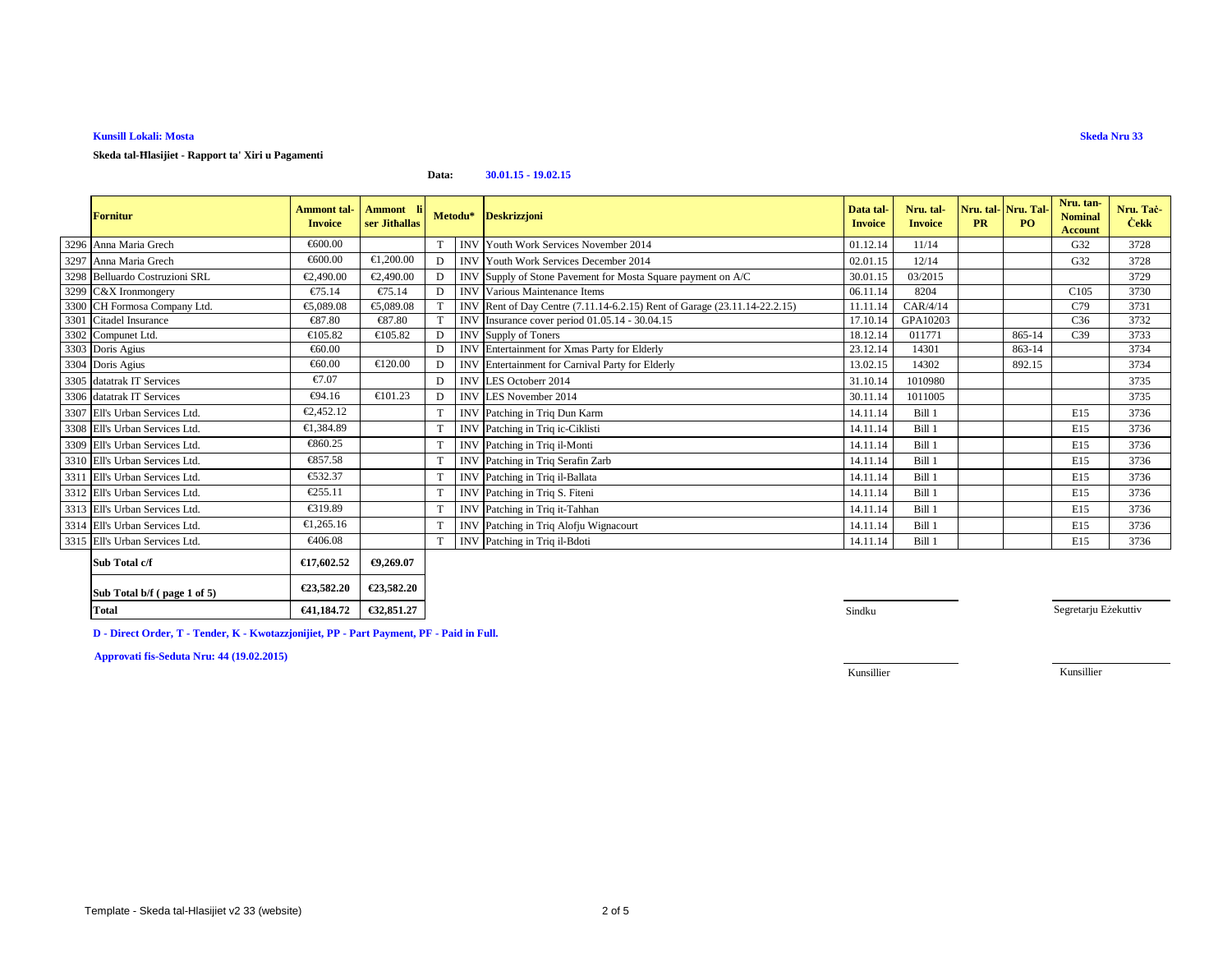# **Kunsill Lokali: Mosta**

### **Skeda tal-Ħlasijiet - Rapport ta' Xiri u Pagamenti**

#### **Data:30.01.15 - 19.02.15**

| <b>Fornitur</b>                | <b>Ammont</b> tal-<br><b>Invoice</b> | Ammont li<br>ser Jithallas |   |            | Metodu* Deskrizzjoni                                                  | Data tal-<br><b>Invoice</b> | Nru. tal-<br><b>Invoice</b> | <b>PR</b> | Nru. tal-Nru. Tal-<br>PO <sub>1</sub> | Nru. tan-<br><b>Nominal</b><br><b>Account</b> | Nru. Tač-<br><b>Cekk</b> |
|--------------------------------|--------------------------------------|----------------------------|---|------------|-----------------------------------------------------------------------|-----------------------------|-----------------------------|-----------|---------------------------------------|-----------------------------------------------|--------------------------|
| 3296 Anna Maria Grech          | €600.00                              |                            |   |            | <b>INV</b> Youth Work Services November 2014                          | 01.12.14                    | 11/14                       |           |                                       | G <sub>32</sub>                               | 3728                     |
| 3297 Anna Maria Grech          | €600.00                              | €1,200.00                  | D |            | <b>INV</b> Youth Work Services December 2014                          | 02.01.15                    | 12/14                       |           |                                       | G <sub>32</sub>                               | 3728                     |
| 3298 Belluardo Costruzioni SRL | €2,490.00                            | €2,490.00                  |   | <b>INV</b> | Supply of Stone Pavement or Mosta Square payment on A/C               | 30.01.15                    | 03/2015                     |           |                                       |                                               | 3729                     |
| 3299 C&X Ironmongery           | €75.14                               | €75.14                     | D | <b>INV</b> | Various Maintenance Items                                             | 06.11.14                    | 8204                        |           |                                       | C <sub>105</sub>                              | 3730                     |
| 3300 CH Formosa Company Ltd.   | €5,089.08                            | €5,089.08                  |   | <b>INV</b> | Rent of Day Centre (7.11.14-6.2.15) Rent of Garage (23.11.14-22.2.15) | 11.11.14                    | CAR/4/14                    |           |                                       | C79                                           | 3731                     |
| 3301 Citadel Insurance         | €87.80                               | €87.80                     |   | <b>INV</b> | Insurance cover period 01.05.14 - 30.04.15                            | 17.10.14                    | GPA10203                    |           |                                       | C <sub>36</sub>                               | 3732                     |
| 3302 Compunet Ltd.             | €105.82                              | €105.82                    | D |            | INV Supply of Toners                                                  | 18.12.14                    | 011771                      |           | 865-14                                | C <sub>39</sub>                               | 3733                     |
| 3303 Doris Agius               | €60.00                               |                            | D | <b>INV</b> | Entertainment for Xmas Party for Elderly                              | 23.12.14                    | 14301                       |           | 863-14                                |                                               | 3734                     |
| 3304 Doris Agius               | €60.00                               | €120.00                    | D |            | INV Entertainment for Carnival Party for Elderly                      | 13.02.15                    | 14302                       |           | 892.15                                |                                               | 3734                     |
| 3305 datatrak IT Services      | €7.07                                |                            | D |            | INV LES Octoberr 2014                                                 | 31.10.14                    | 1010980                     |           |                                       |                                               | 3735                     |
| 3306 datatrak IT Services      | €94.16                               | €101.23                    | D | <b>INV</b> | LES November 2014                                                     | 30.11.14                    | 1011005                     |           |                                       |                                               | 3735                     |
| 3307 Ell's Urban Services Ltd. | €2,452.12                            |                            |   | <b>INV</b> | Patching in Triq Dun Karm                                             | 14.11.14                    | Bill 1                      |           |                                       | E15                                           | 3736                     |
| 3308 Ell's Urban Services Ltd. | €1,384.89                            |                            |   | <b>INV</b> | Patching in Triq ic-Ciklisti                                          | 14.11.14                    | Bill 1                      |           |                                       | E15                                           | 3736                     |
| 3309 Ell's Urban Services Ltd. | €860.25                              |                            |   | <b>INV</b> | Patching in Triq il-Monti                                             | 14.11.14                    | Bill 1                      |           |                                       | E15                                           | 3736                     |
| 3310 Ell's Urban Services Ltd. | €857.58                              |                            |   | <b>INV</b> | Patching in Triq Serafin Zarb                                         | 14.11.14                    | Bill 1                      |           |                                       | E15                                           | 3736                     |
| 3311 Ell's Urban Services Ltd. | €532.37                              |                            |   | <b>INV</b> | Patching in Triq il-Ballata                                           | 14.11.14                    | Bill 1                      |           |                                       | E15                                           | 3736                     |
| 3312 Ell's Urban Services Ltd. | €255.11                              |                            |   | <b>INV</b> | Patching in Triq S. Fiteni                                            | 14.11.14                    | Bill 1                      |           |                                       | E15                                           | 3736                     |
| 3313 Ell's Urban Services Ltd. | €319.89                              |                            |   | <b>INV</b> | Patching in Triq it-Tahhan                                            | 14.11.14                    | Bill 1                      |           |                                       | E15                                           | 3736                     |
| 3314 Ell's Urban Services Ltd. | €1,265.16                            |                            |   | <b>INV</b> | Patching in Triq Alofju Wignacourt                                    | 14.11.14                    | Bill 1                      |           |                                       | E15                                           | 3736                     |
| 3315 Ell's Urban Services Ltd. | €406.08                              |                            |   | <b>INV</b> | Patching in Triq il-Bdoti                                             | 14.11.14                    | Bill 1                      |           |                                       | E15                                           | 3736                     |
| Sub Total c/f                  | €17,602.52                           | €9,269.07                  |   |            |                                                                       |                             |                             |           |                                       |                                               |                          |

| ISUD 10tal C/I              | €17.002.52 | €9,209,07  |
|-----------------------------|------------|------------|
| Sub Total b/f (page 1 of 5) | €23.582.20 | €23.582.20 |
| Total                       | €41.184.72 | €32,851.27 |

**T** Sindku and the state of the state of the state of the state of the state of the state of the state of the state of the state of the state of the state of the state of the state of the state of the state of the state of

Segretarju Eżekuttiv

**D - Direct Order, T - Tender, K - Kwotazzjonijiet, PP - Part Payment, PF - Paid in Full.**

**Approvati fis-Seduta Nru: 44 (19.02.2015)**

Kunsillier

Kunsillier

# **Skeda Nru 33**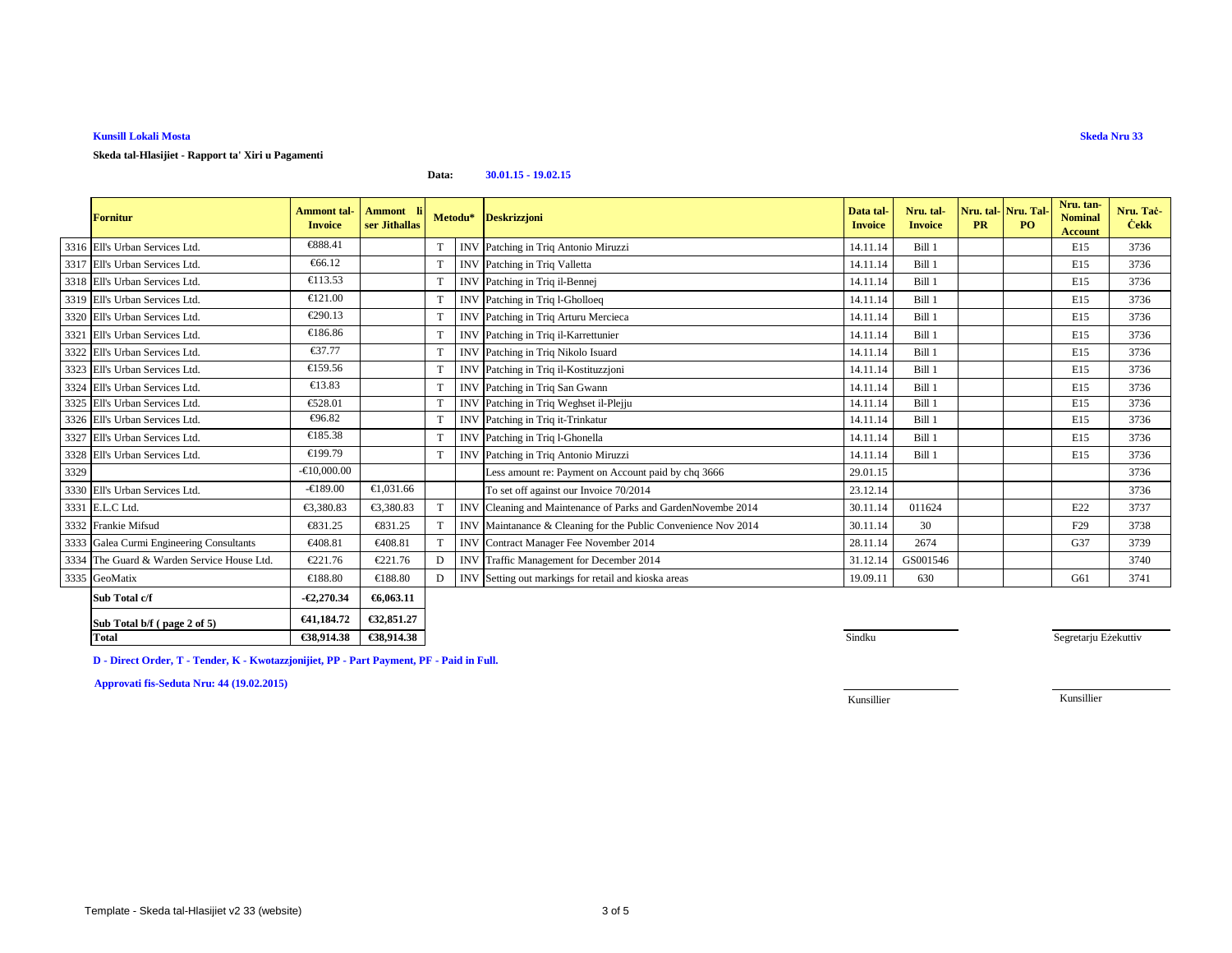# **Kunsill Lokali Mosta**

## **Skeda tal-Hlasijiet - Rapport ta' Xiri u Pagamenti**

**Data:30.01.15 - 19.02.15**

|      | <b>Fornitur</b>                            | <b>Ammont</b> tal-<br><b>Invoice</b> | <b>Ammont</b><br>ser Jithallas |   |            | Metodu* Deskrizzjoni                                       | Data tal-<br><b>Invoice</b> | Nru. tal-<br><b>Invoice</b> | Nru. tal-Nru. Tal<br><b>PR</b> | PO. | Nru. tan-<br><b>Nominal</b><br><b>Account</b> | Nru. Tač-<br><b>Cekk</b> |
|------|--------------------------------------------|--------------------------------------|--------------------------------|---|------------|------------------------------------------------------------|-----------------------------|-----------------------------|--------------------------------|-----|-----------------------------------------------|--------------------------|
|      | 3316 Ell's Urban Services Ltd.             | €888.41                              |                                |   |            | INV Patching in Triq Antonio Miruzzi                       | 14.11.14                    | Bill 1                      |                                |     | E15                                           | 3736                     |
|      | 3317 Ell's Urban Services Ltd.             | €66.12                               |                                | T |            | INV Patching in Triq Valletta                              | 14.11.14                    | Bill 1                      |                                |     | E15                                           | 3736                     |
|      | 3318 Ell's Urban Services Ltd.             | €113.53                              |                                | T |            | INV Patching in Triq il-Bennej                             | 14.11.14                    | Bill 1                      |                                |     | E15                                           | 3736                     |
|      | 3319 Ell's Urban Services Ltd.             | €121.00                              |                                | T |            | INV Patching in Triq 1-Gholloeq                            | 14.11.14                    | Bill 1                      |                                |     | E15                                           | 3736                     |
|      | 3320 Ell's Urban Services Ltd.             | €290.13                              |                                | T |            | INV Patching in Triq Arturu Mercieca                       | 14.11.14                    | Bill 1                      |                                |     | E15                                           | 3736                     |
|      | 3321 Ell's Urban Services Ltd.             | €186.86                              |                                | T |            | INV Patching in Triq il-Karrettunier                       | 14.11.14                    | Bill 1                      |                                |     | E15                                           | 3736                     |
|      | 3322 Ell's Urban Services Ltd.             | €37.77                               |                                | T |            | INV Patching in Triq Nikolo Isuard                         | 14.11.14                    | Bill 1                      |                                |     | E15                                           | 3736                     |
|      | 3323 Ell's Urban Services Ltd.             | €159.56                              |                                | T |            | INV Patching in Triq il-Kostituzzjoni                      | 14.11.14                    | Bill 1                      |                                |     | E15                                           | 3736                     |
|      | 3324 Ell's Urban Services Ltd.             | €13.83                               |                                | T |            | INV Patching in Triq San Gwann                             | 14.11.14                    | Bill 1                      |                                |     | E15                                           | 3736                     |
|      | 3325 Ell's Urban Services Ltd.             | €528.01                              |                                | T |            | INV Patching in Triq Weghset il-Plejju                     | 14.11.14                    | Bill 1                      |                                |     | E15                                           | 3736                     |
|      | 3326 Ell's Urban Services Ltd.             | €96.82                               |                                | T |            | INV Patching in Triq it-Trinkatur                          | 14.11.14                    | Bill 1                      |                                |     | E15                                           | 3736                     |
|      | 3327 Ell's Urban Services Ltd.             | €185.38                              |                                | T |            | INV Patching in Triq 1-Ghonella                            | 14.11.14                    | Bill 1                      |                                |     | E15                                           | 3736                     |
|      | 3328 Ell's Urban Services Ltd.             | €199.79                              |                                | T |            | INV Patching in Triq Antonio Miruzzi                       | 14.11.14                    | Bill 1                      |                                |     | E15                                           | 3736                     |
| 3329 |                                            | $-610,000,00$                        |                                |   |            | Less amount re: Payment on Account paid by chq 3666        | 29.01.15                    |                             |                                |     |                                               | 3736                     |
|      | 3330 Ell's Urban Services Ltd.             | $-€189.00$                           | €1,031.66                      |   |            | To set off against our Invoice 70/2014                     | 23.12.14                    |                             |                                |     |                                               | 3736                     |
|      | 3331 E.L.C Ltd.                            | €3,380.83                            | €3,380.83                      |   | <b>INV</b> | Cleaning and Maintenance of Parksand GardenNovembe 2014    | 30.11.14                    | 011624                      |                                |     | E22                                           | 3737                     |
|      | 3332 Frankie Mifsud                        | €831.25                              | €831.25                        |   | <b>INV</b> | Maintanance & Cleaning for the Public Convenience Nov 2014 | 30.11.14                    | 30                          |                                |     | F <sub>29</sub>                               | 3738                     |
|      | 3333 Galea Curmi Engineering Consultants   | €408.81                              | €408.81                        |   | <b>INV</b> | ContractManager Fee November 2014                          | 28.11.14                    | 2674                        |                                |     | G37                                           | 3739                     |
|      | 3334 The Guard & Warden Service House Ltd. | €221.76                              | €221.76                        | D | <b>INV</b> | Traffic Mnagement for December 2014                        | 31.12.14                    | GS001546                    |                                |     |                                               | 3740                     |
|      | 3335 GeoMatix                              | €188.80                              | €188.80                        | D | <b>INV</b> | Setting out markings for retail and kioskareas             | 19.09.11                    | 630                         |                                |     | G61                                           | 3741                     |
|      | Sub Total c/f                              | $-62,270.34$                         | €6,063.11                      |   |            |                                                            |                             |                             |                                |     |                                               |                          |
|      | Sub Total b/f (page 2 of 5)                | €41,184.72                           | €32,851.27                     |   |            |                                                            |                             |                             |                                |     |                                               |                          |

 **€38,914.38 €38,914.38**8. Sindku **D - Direct Order, T - Tender, K - Kwotazzjonijiet, PP - Part Payment, PF - Paid in Full.**

**Approvati fis-Seduta Nru: 44 (19.02.2015)**

**Total**

Kunsillier

Kunsillier

Segretarju Eżekuttiv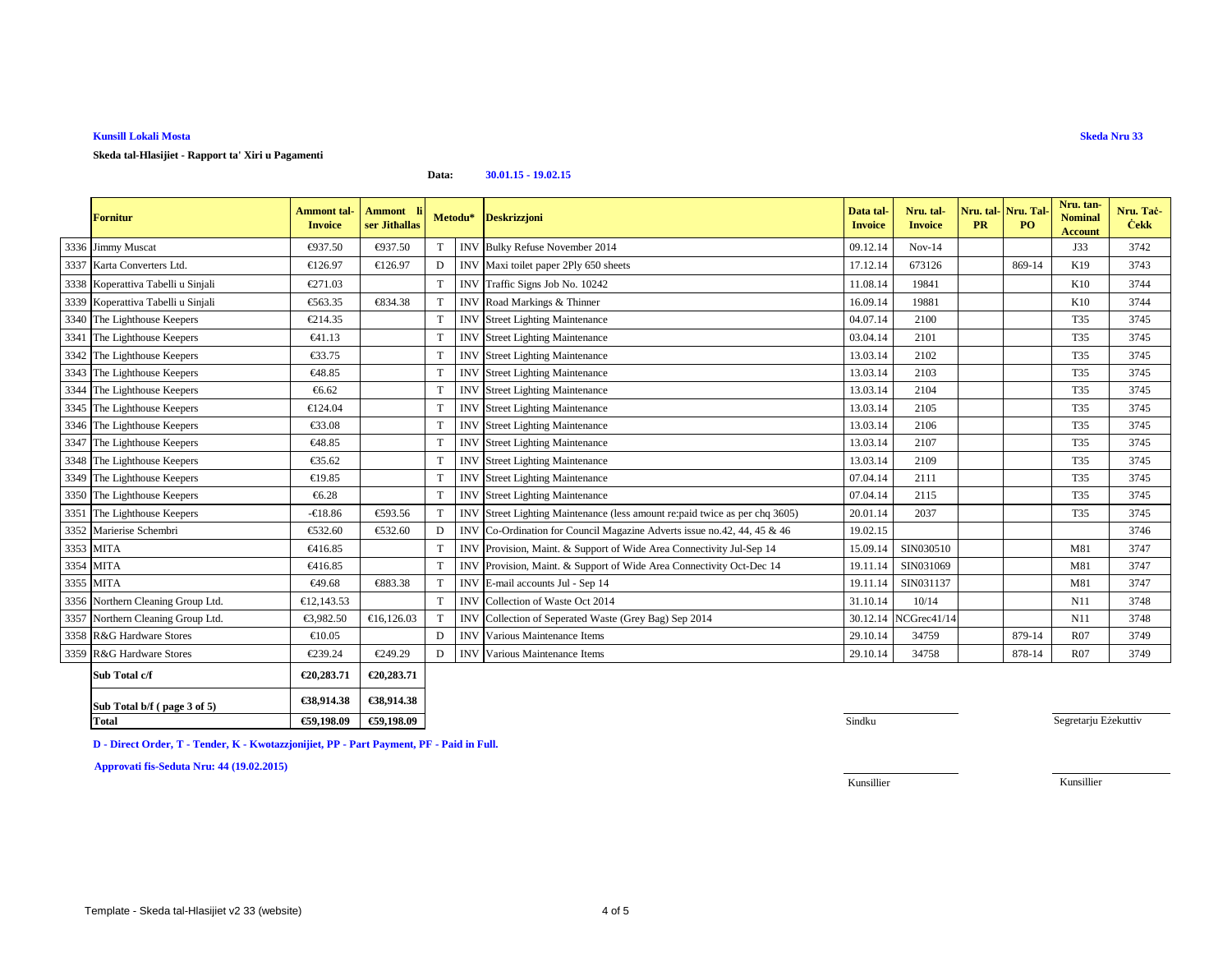# **Kunsill Lokali Mosta**

### **Data:30.01.15 - 19.02.15**

|                   |                                                                                                                                                                                                                                                                                                                                                                                                                                                                                                                                                                                                                                                                                                                 | ser Jithallas |             | Metodu*    | <b>Deskrizzjoni</b>                                                    | Data tal-<br><b>Invoice</b>                                                                                                    | Nru. tal-<br><b>Invoice</b> | Nru. tal-Nru. Tal<br><b>PR</b> | PO.    | <b>Nominal</b><br><b>Account</b> | Nru. Tac-<br><b>Cekk</b> |
|-------------------|-----------------------------------------------------------------------------------------------------------------------------------------------------------------------------------------------------------------------------------------------------------------------------------------------------------------------------------------------------------------------------------------------------------------------------------------------------------------------------------------------------------------------------------------------------------------------------------------------------------------------------------------------------------------------------------------------------------------|---------------|-------------|------------|------------------------------------------------------------------------|--------------------------------------------------------------------------------------------------------------------------------|-----------------------------|--------------------------------|--------|----------------------------------|--------------------------|
| 3336 Jimmy Muscat | €937.50                                                                                                                                                                                                                                                                                                                                                                                                                                                                                                                                                                                                                                                                                                         | €937.50       |             | <b>INV</b> | Bulky Refuse November 2014                                             | 09.12.14                                                                                                                       | $Nov-14$                    |                                |        | J33                              | 3742                     |
|                   | €126.97                                                                                                                                                                                                                                                                                                                                                                                                                                                                                                                                                                                                                                                                                                         | €126.97       | D           |            |                                                                        | 17.12.14                                                                                                                       | 673126                      |                                | 869-14 | K19                              | 3743                     |
|                   | €271.03                                                                                                                                                                                                                                                                                                                                                                                                                                                                                                                                                                                                                                                                                                         |               | T           | <b>INV</b> | Traffic Signs Job No.10242                                             | 11.08.14                                                                                                                       | 19841                       |                                |        | K10                              | 3744                     |
|                   | €563.35                                                                                                                                                                                                                                                                                                                                                                                                                                                                                                                                                                                                                                                                                                         | €834.38       | T           | <b>INV</b> | Road Markings & Thiner                                                 | 16.09.14                                                                                                                       | 19881                       |                                |        | K10                              | 3744                     |
|                   | €214.35                                                                                                                                                                                                                                                                                                                                                                                                                                                                                                                                                                                                                                                                                                         |               | T           | <b>INV</b> | <b>Street Lighting Maintenance</b>                                     | 04.07.14                                                                                                                       | 2100                        |                                |        | <b>T35</b>                       | 3745                     |
|                   | €41.13                                                                                                                                                                                                                                                                                                                                                                                                                                                                                                                                                                                                                                                                                                          |               | T           | <b>INV</b> | <b>Street Lighting Maintenance</b>                                     | 03.04.14                                                                                                                       | 2101                        |                                |        | T35                              | 3745                     |
|                   | €33.75                                                                                                                                                                                                                                                                                                                                                                                                                                                                                                                                                                                                                                                                                                          |               | T           | <b>INV</b> | <b>Street Lighting Maintenance</b>                                     | 13.03.14                                                                                                                       | 2102                        |                                |        | T35                              | 3745                     |
|                   | €48.85                                                                                                                                                                                                                                                                                                                                                                                                                                                                                                                                                                                                                                                                                                          |               | T           | <b>INV</b> |                                                                        | 13.03.14                                                                                                                       | 2103                        |                                |        | T35                              | 3745                     |
|                   | €6.62                                                                                                                                                                                                                                                                                                                                                                                                                                                                                                                                                                                                                                                                                                           |               | T           | <b>INV</b> | <b>Street Lighting Maintenance</b>                                     | 13.03.14                                                                                                                       | 2104                        |                                |        | T35                              | 3745                     |
|                   | €124.04                                                                                                                                                                                                                                                                                                                                                                                                                                                                                                                                                                                                                                                                                                         |               | T           | <b>INV</b> | <b>Street Lighting Maintenance</b>                                     | 13.03.14                                                                                                                       | 2105                        |                                |        | T35                              | 3745                     |
|                   | €33.08                                                                                                                                                                                                                                                                                                                                                                                                                                                                                                                                                                                                                                                                                                          |               | T           | <b>INV</b> | <b>Street Lighting Maintenance</b>                                     | 13.03.14                                                                                                                       | 2106                        |                                |        | T35                              | 3745                     |
|                   | €48.85                                                                                                                                                                                                                                                                                                                                                                                                                                                                                                                                                                                                                                                                                                          |               | T           | <b>INV</b> | <b>Street Lighting Maintenance</b>                                     | 13.03.14                                                                                                                       | 2107                        |                                |        | <b>T35</b>                       | 3745                     |
|                   | €35.62                                                                                                                                                                                                                                                                                                                                                                                                                                                                                                                                                                                                                                                                                                          |               | T           | <b>INV</b> | <b>Street Lighting Maintenance</b>                                     | 13.03.14                                                                                                                       | 2109                        |                                |        | T35                              | 3745                     |
|                   | €19.85                                                                                                                                                                                                                                                                                                                                                                                                                                                                                                                                                                                                                                                                                                          |               | T           |            |                                                                        | 07.04.14                                                                                                                       | 2111                        |                                |        | T35                              | 3745                     |
|                   | €6.28                                                                                                                                                                                                                                                                                                                                                                                                                                                                                                                                                                                                                                                                                                           |               | T           | <b>INV</b> | <b>Street Lighting Maintenance</b>                                     | 07.04.14                                                                                                                       | 2115                        |                                |        | T35                              | 3745                     |
|                   | $-618.86$                                                                                                                                                                                                                                                                                                                                                                                                                                                                                                                                                                                                                                                                                                       | €593.56       | T           | <b>INV</b> | Street Lighting Maintnance (less amount re:paid twice as per chq 3605) | 20.01.14                                                                                                                       | 2037                        |                                |        | T35                              | 3745                     |
|                   | €532.60                                                                                                                                                                                                                                                                                                                                                                                                                                                                                                                                                                                                                                                                                                         | €532.60       | D           | <b>INV</b> | Co-Ordination for Council Magaine Adverts issue no.42, 44, 45 & 46     | 19.02.15                                                                                                                       |                             |                                |        |                                  | 3746                     |
|                   | €416.85                                                                                                                                                                                                                                                                                                                                                                                                                                                                                                                                                                                                                                                                                                         |               | T           | <b>INV</b> | Provision, Maint. & Support of Wide Area ConnectivityJul-Sep 14        | 15.09.14                                                                                                                       | SIN030510                   |                                |        | M81                              | 3747                     |
|                   | €416.85                                                                                                                                                                                                                                                                                                                                                                                                                                                                                                                                                                                                                                                                                                         |               | T           | <b>INV</b> | Provision, Maint. & Support of Wide Area ConnectivityOct-Dec 14        | 19.11.14                                                                                                                       | SIN031069                   |                                |        | M81                              | 3747                     |
|                   | €49.68                                                                                                                                                                                                                                                                                                                                                                                                                                                                                                                                                                                                                                                                                                          | €883.38       |             | <b>INV</b> | E-mail accounts Jul - Sep 14                                           | 19.11.14                                                                                                                       | SIN031137                   |                                |        | M81                              | 3747                     |
|                   | €12,143.53                                                                                                                                                                                                                                                                                                                                                                                                                                                                                                                                                                                                                                                                                                      |               | T           | <b>INV</b> | Collection of Waste Od 2014                                            | 31.10.14                                                                                                                       | 10/14                       |                                |        | N11                              | 3748                     |
|                   | €3,982.50                                                                                                                                                                                                                                                                                                                                                                                                                                                                                                                                                                                                                                                                                                       | €16,126.03    | T           | <b>IN</b>  | Collection of Seperted Waste (Grey Bag) Sep 2014                       |                                                                                                                                |                             |                                |        | N11                              | 3748                     |
|                   | €10.05                                                                                                                                                                                                                                                                                                                                                                                                                                                                                                                                                                                                                                                                                                          |               | $\mathbf D$ | <b>INV</b> | Various Maintenance Items                                              | 29.10.14                                                                                                                       | 34759                       |                                | 879-14 | <b>R07</b>                       | 3749                     |
|                   | €239.24                                                                                                                                                                                                                                                                                                                                                                                                                                                                                                                                                                                                                                                                                                         | €249.29       | D           | <b>INV</b> | Various Maintenance Items                                              | 29.10.14                                                                                                                       | 34758                       |                                | 878-14 | <b>R07</b>                       | 3749                     |
|                   | €20,283.71                                                                                                                                                                                                                                                                                                                                                                                                                                                                                                                                                                                                                                                                                                      | €20,283.71    |             |            |                                                                        |                                                                                                                                |                             |                                |        |                                  |                          |
|                   | 3337 Karta Converters Ltd.<br>3338 Koperattiva Tabelli u Sinjali<br>3339 Koperattiva Tabelli u Sinjali<br>3340 The Lighthouse Keepers<br>3341 The Lighthouse Keepers<br>3342 The Lighthouse Keepers<br>3343 The Lighthouse Keepers<br>3344 The Lighthouse Keepers<br>3345 The Lighthouse Keepers<br>3346 The Lighthouse Keepers<br>3347 The Lighthouse Keepers<br>3348 The Lighthouse Keepers<br>3349 The Lighthouse Keepers<br>3350 The Lighthouse Keepers<br>3351 The Lighthouse Keepers<br>3352 Marierise Schembri<br>3353 MITA<br>3354 MITA<br>3355 MITA<br>3356 Northern Cleaning Group Ltd.<br>3357 Northern Cleaning Group Ltd.<br>3358 R&G Hardware Stores<br>3359 R&G Hardware Stores<br>Sub Total c/f |               |             |            | £38 014 38<br>£38 014 38                                               | INV Maxi toilet paper 2Ply 650 shets<br><b>Street Lighting Maintenance</b><br><b>Street Lighting Maintenance</b><br><b>INV</b> |                             | 30.12.14 NCGrec41/14           |        |                                  |                          |

| page $3$ of $5$ )<br>Sub Total b/f ( | CJ0.714.JO | CJ0.714.J0 |
|--------------------------------------|------------|------------|
| <b>Total</b>                         | 959,198,09 | €59,198.09 |
|                                      |            |            |

Segretarju Eżekuttiv

**Skeda Nru 33**

**D - Direct Order, T - Tender, K - Kwotazzjonijiet, PP - Part Payment, PF - Paid in Full.**

**Approvati fis-Seduta Nru: 44 (19.02.2015)**

Kunsillier

Kunsillier